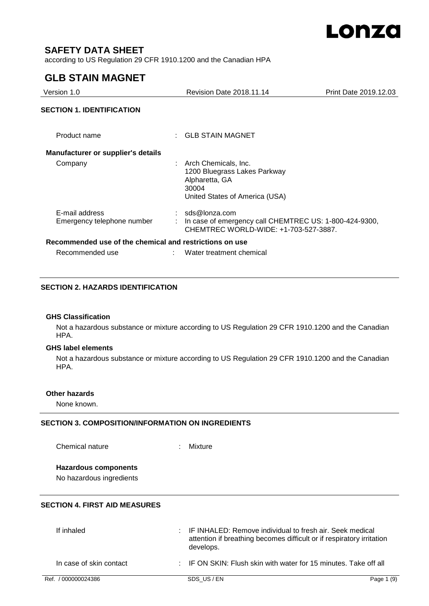

## **SAFETY DATA SHEET**

according to US Regulation 29 CFR 1910.1200 and the Canadian HPA

## **GLB STAIN MAGNET**

| Version 1.0                                             | <b>Revision Date 2018.11.14</b>                                                                                      | Print Date 2019.12.03 |
|---------------------------------------------------------|----------------------------------------------------------------------------------------------------------------------|-----------------------|
| <b>SECTION 1. IDENTIFICATION</b>                        |                                                                                                                      |                       |
| Product name                                            | : GLB STAIN MAGNET                                                                                                   |                       |
| <b>Manufacturer or supplier's details</b>               |                                                                                                                      |                       |
| Company                                                 | Arch Chemicals, Inc.<br>1200 Bluegrass Lakes Parkway<br>Alpharetta, GA<br>30004<br>United States of America (USA)    |                       |
| E-mail address<br>Emergency telephone number            | $:$ sds@lonza.com<br>In case of emergency call CHEMTREC US: 1-800-424-9300,<br>CHEMTREC WORLD-WIDE: +1-703-527-3887. |                       |
| Recommended use of the chemical and restrictions on use |                                                                                                                      |                       |
| Recommended use                                         | Water treatment chemical                                                                                             |                       |

### **SECTION 2. HAZARDS IDENTIFICATION**

#### **GHS Classification**

Not a hazardous substance or mixture according to US Regulation 29 CFR 1910.1200 and the Canadian HPA.

## **GHS label elements**

Not a hazardous substance or mixture according to US Regulation 29 CFR 1910.1200 and the Canadian HPA.

## **Other hazards**

None known.

## **SECTION 3. COMPOSITION/INFORMATION ON INGREDIENTS**

Chemical nature : Mixture

## **Hazardous components**

No hazardous ingredients

## **SECTION 4. FIRST AID MEASURES**

| If inhaled              | : IF INHALED: Remove individual to fresh air. Seek medical<br>attention if breathing becomes difficult or if respiratory irritation<br>develops. |            |
|-------------------------|--------------------------------------------------------------------------------------------------------------------------------------------------|------------|
| In case of skin contact | : IF ON SKIN: Flush skin with water for 15 minutes. Take off all                                                                                 |            |
| Ref. / 000000024386     | SDS US/EN                                                                                                                                        | Page 1 (9) |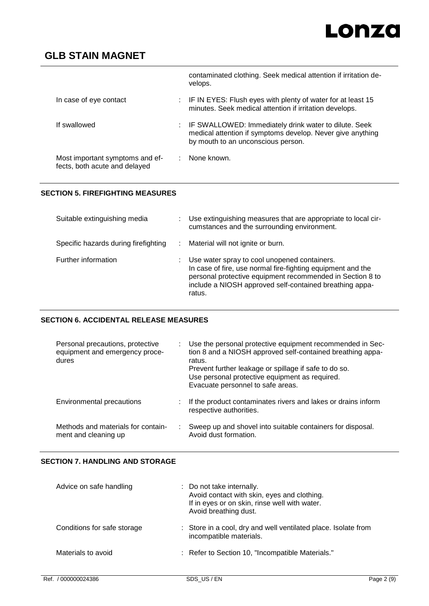|                                                                  | contaminated clothing. Seek medical attention if irritation de-<br>velops.                                                                                  |
|------------------------------------------------------------------|-------------------------------------------------------------------------------------------------------------------------------------------------------------|
| In case of eye contact                                           | : IF IN EYES: Flush eyes with plenty of water for at least 15<br>minutes. Seek medical attention if irritation develops.                                    |
| If swallowed                                                     | : IF SWALLOWED: Immediately drink water to dilute. Seek<br>medical attention if symptoms develop. Never give anything<br>by mouth to an unconscious person. |
| Most important symptoms and ef-<br>fects, both acute and delayed | None known.                                                                                                                                                 |

## **SECTION 5. FIREFIGHTING MEASURES**

| Suitable extinguishing media         | Use extinguishing measures that are appropriate to local cir-<br>cumstances and the surrounding environment.                                                                                                                                  |
|--------------------------------------|-----------------------------------------------------------------------------------------------------------------------------------------------------------------------------------------------------------------------------------------------|
| Specific hazards during firefighting | Material will not ignite or burn.                                                                                                                                                                                                             |
| Further information                  | Use water spray to cool unopened containers.<br>In case of fire, use normal fire-fighting equipment and the<br>personal protective equipment recommended in Section 8 to<br>include a NIOSH approved self-contained breathing appa-<br>ratus. |

## **SECTION 6. ACCIDENTAL RELEASE MEASURES**

| Personal precautions, protective<br>equipment and emergency proce-<br>dures | Use the personal protective equipment recommended in Sec-<br>tion 8 and a NIOSH approved self-contained breathing appa-<br>ratus.<br>Prevent further leakage or spillage if safe to do so.<br>Use personal protective equipment as required.<br>Evacuate personnel to safe areas. |
|-----------------------------------------------------------------------------|-----------------------------------------------------------------------------------------------------------------------------------------------------------------------------------------------------------------------------------------------------------------------------------|
| Environmental precautions                                                   | If the product contaminates rivers and lakes or drains inform<br>respective authorities.                                                                                                                                                                                          |
| Methods and materials for contain-<br>ment and cleaning up                  | Sweep up and shovel into suitable containers for disposal.<br>Avoid dust formation.                                                                                                                                                                                               |

## **SECTION 7. HANDLING AND STORAGE**

| Advice on safe handling     | : Do not take internally.<br>Avoid contact with skin, eyes and clothing.<br>If in eyes or on skin, rinse well with water.<br>Avoid breathing dust. |
|-----------------------------|----------------------------------------------------------------------------------------------------------------------------------------------------|
| Conditions for safe storage | : Store in a cool, dry and well ventilated place. Isolate from<br>incompatible materials.                                                          |
| Materials to avoid          | : Refer to Section 10, "Incompatible Materials."                                                                                                   |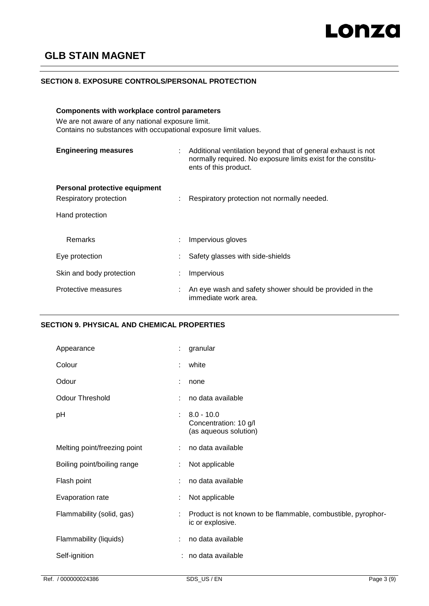### **SECTION 8. EXPOSURE CONTROLS/PERSONAL PROTECTION**

### **Components with workplace control parameters**

We are not aware of any national exposure limit. Contains no substances with occupational exposure limit values.

| <b>Engineering measures</b>   | ÷ | Additional ventilation beyond that of general exhaust is not<br>normally required. No exposure limits exist for the constitu-<br>ents of this product. |
|-------------------------------|---|--------------------------------------------------------------------------------------------------------------------------------------------------------|
| Personal protective equipment |   |                                                                                                                                                        |
| Respiratory protection        | ÷ | Respiratory protection not normally needed.                                                                                                            |
| Hand protection               |   |                                                                                                                                                        |
| Remarks                       | ÷ | Impervious gloves                                                                                                                                      |
| Eye protection                |   | Safety glasses with side-shields                                                                                                                       |
| Skin and body protection      |   | Impervious                                                                                                                                             |
| Protective measures           |   | An eye wash and safety shower should be provided in the<br>immediate work area.                                                                        |

### **SECTION 9. PHYSICAL AND CHEMICAL PROPERTIES**

| Appearance                   | t. | granular                                                                         |
|------------------------------|----|----------------------------------------------------------------------------------|
| Colour                       | t. | white                                                                            |
| Odour                        | ÷  | none                                                                             |
| <b>Odour Threshold</b>       | ÷  | no data available                                                                |
| рH                           | t. | $8.0 - 10.0$<br>Concentration: 10 g/l<br>(as aqueous solution)                   |
| Melting point/freezing point | ÷. | no data available                                                                |
| Boiling point/boiling range  | ÷  | Not applicable                                                                   |
| Flash point                  | ÷  | no data available                                                                |
| Evaporation rate             |    | Not applicable                                                                   |
| Flammability (solid, gas)    | ÷  | Product is not known to be flammable, combustible, pyrophor-<br>ic or explosive. |
| Flammability (liquids)       | ÷  | no data available                                                                |
| Self-ignition                |    | : no data available                                                              |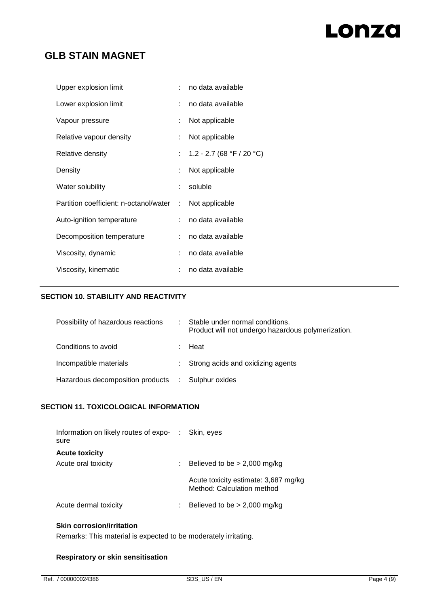| Upper explosion limit                  |   | no data available           |
|----------------------------------------|---|-----------------------------|
| Lower explosion limit                  |   | no data available           |
| Vapour pressure                        |   | Not applicable              |
| Relative vapour density                |   | Not applicable              |
| Relative density                       |   | : 1.2 - 2.7 (68 °F / 20 °C) |
| Density                                |   | Not applicable              |
| Water solubility                       | ÷ | soluble                     |
| Partition coefficient: n-octanol/water | ÷ | Not applicable              |
| Auto-ignition temperature              |   | no data available           |
| Decomposition temperature              |   | no data available           |
| Viscosity, dynamic                     |   | no data available           |
| Viscosity, kinematic                   |   | no data available           |

## **SECTION 10. STABILITY AND REACTIVITY**

| Possibility of hazardous reactions                | Stable under normal conditions.<br>Product will not undergo hazardous polymerization. |
|---------------------------------------------------|---------------------------------------------------------------------------------------|
| Conditions to avoid                               | : Heat                                                                                |
| Incompatible materials                            | : Strong acids and oxidizing agents                                                   |
| Hazardous decomposition products : Sulphur oxides |                                                                                       |

## **SECTION 11. TOXICOLOGICAL INFORMATION**

| Information on likely routes of expo-<br>sure | : Skin, eves                                                       |
|-----------------------------------------------|--------------------------------------------------------------------|
| <b>Acute toxicity</b>                         |                                                                    |
| Acute oral toxicity                           | Believed to be $> 2,000$ mg/kg                                     |
|                                               | Acute toxicity estimate: 3,687 mg/kg<br>Method: Calculation method |
| Acute dermal toxicity                         | Believed to be $> 2,000$ mg/kg                                     |

## **Skin corrosion/irritation**

Remarks: This material is expected to be moderately irritating.

## **Respiratory or skin sensitisation**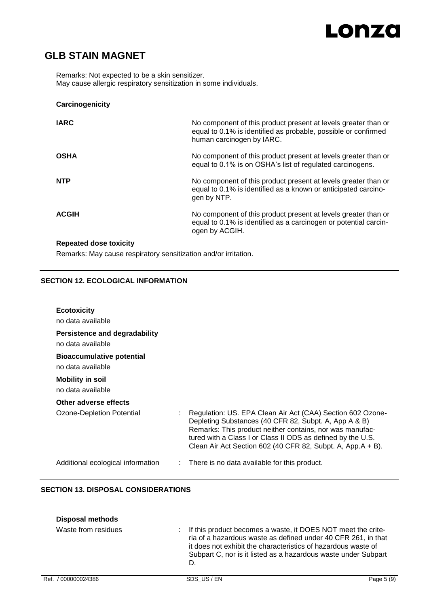Remarks: Not expected to be a skin sensitizer. May cause allergic respiratory sensitization in some individuals.

## **Carcinogenicity**

| <b>IARC</b>  | No component of this product present at levels greater than or<br>equal to 0.1% is identified as probable, possible or confirmed<br>human carcinogen by IARC. |
|--------------|---------------------------------------------------------------------------------------------------------------------------------------------------------------|
| <b>OSHA</b>  | No component of this product present at levels greater than or<br>equal to 0.1% is on OSHA's list of regulated carcinogens.                                   |
| <b>NTP</b>   | No component of this product present at levels greater than or<br>equal to 0.1% is identified as a known or anticipated carcino-<br>gen by NTP.               |
| <b>ACGIH</b> | No component of this product present at levels greater than or<br>equal to 0.1% is identified as a carcinogen or potential carcin-<br>ogen by ACGIH.          |
|              |                                                                                                                                                               |

## **Repeated dose toxicity**

Remarks: May cause respiratory sensitization and/or irritation.

## **SECTION 12. ECOLOGICAL INFORMATION**

| <b>Ecotoxicity</b><br>no data available                   |                                                                                                                                                                                                                                                                                                               |
|-----------------------------------------------------------|---------------------------------------------------------------------------------------------------------------------------------------------------------------------------------------------------------------------------------------------------------------------------------------------------------------|
| <b>Persistence and degradability</b><br>no data available |                                                                                                                                                                                                                                                                                                               |
| <b>Bioaccumulative potential</b><br>no data available     |                                                                                                                                                                                                                                                                                                               |
| <b>Mobility in soil</b><br>no data available              |                                                                                                                                                                                                                                                                                                               |
| Other adverse effects                                     |                                                                                                                                                                                                                                                                                                               |
| Ozone-Depletion Potential                                 | Regulation: US. EPA Clean Air Act (CAA) Section 602 Ozone-<br>Depleting Substances (40 CFR 82, Subpt. A, App A & B)<br>Remarks: This product neither contains, nor was manufac-<br>tured with a Class I or Class II ODS as defined by the U.S.<br>Clean Air Act Section 602 (40 CFR 82, Subpt. A, App.A + B). |
| Additional ecological information                         | $\therefore$ There is no data available for this product.                                                                                                                                                                                                                                                     |

## **SECTION 13. DISPOSAL CONSIDERATIONS**

| <b>Disposal methods</b> |                                                                                                                                                                                                                                                                              |
|-------------------------|------------------------------------------------------------------------------------------------------------------------------------------------------------------------------------------------------------------------------------------------------------------------------|
| Waste from residues     | If this product becomes a waste, it DOES NOT meet the crite-<br>t.<br>ria of a hazardous waste as defined under 40 CFR 261, in that<br>it does not exhibit the characteristics of hazardous waste of<br>Subpart C, nor is it listed as a hazardous waste under Subpart<br>D. |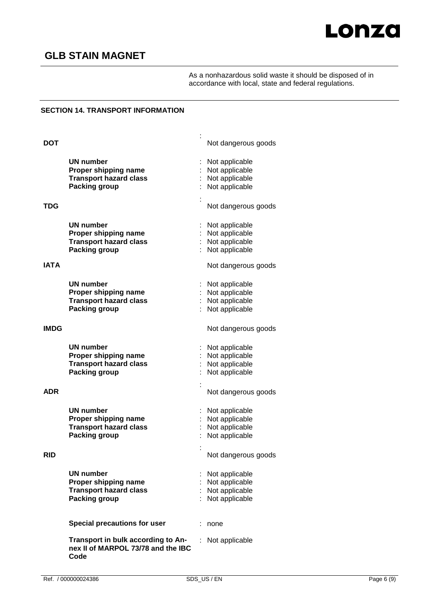

As a nonhazardous solid waste it should be disposed of in accordance with local, state and federal regulations.

## **SECTION 14. TRANSPORT INFORMATION**

| <b>DOT</b>  |                                                                                                   |    | Not dangerous goods                                                                           |
|-------------|---------------------------------------------------------------------------------------------------|----|-----------------------------------------------------------------------------------------------|
|             | <b>UN number</b><br>Proper shipping name<br><b>Transport hazard class</b><br>Packing group        |    | Not applicable<br>Not applicable<br>Not applicable<br>Not applicable                          |
| <b>TDG</b>  |                                                                                                   |    | Not dangerous goods                                                                           |
| IATA        | UN number<br>Proper shipping name<br><b>Transport hazard class</b><br><b>Packing group</b>        |    | Not applicable<br>Not applicable<br>: Not applicable<br>Not applicable<br>Not dangerous goods |
|             | UN number<br>Proper shipping name<br><b>Transport hazard class</b><br><b>Packing group</b>        |    | Not applicable<br>: Not applicable<br>: Not applicable<br>Not applicable                      |
| <b>IMDG</b> |                                                                                                   |    | Not dangerous goods                                                                           |
|             | <b>UN number</b><br>Proper shipping name<br><b>Transport hazard class</b><br>Packing group        |    | Not applicable<br>Not applicable<br>Not applicable<br>Not applicable                          |
| ADR         |                                                                                                   |    | Not dangerous goods                                                                           |
|             | UN number<br>Proper shipping name<br><b>Transport hazard class</b><br><b>Packing group</b>        |    | Not applicable<br>Not applicable<br>Not applicable<br>Not applicable                          |
| <b>RID</b>  |                                                                                                   |    | Not dangerous goods                                                                           |
|             | <b>UN number</b><br>Proper shipping name<br><b>Transport hazard class</b><br><b>Packing group</b> |    | Not applicable<br>Not applicable<br>Not applicable<br>Not applicable                          |
|             | Special precautions for user                                                                      |    | : none                                                                                        |
|             | Transport in bulk according to An-<br>nex II of MARPOL 73/78 and the IBC<br>Code                  | t. | Not applicable                                                                                |

: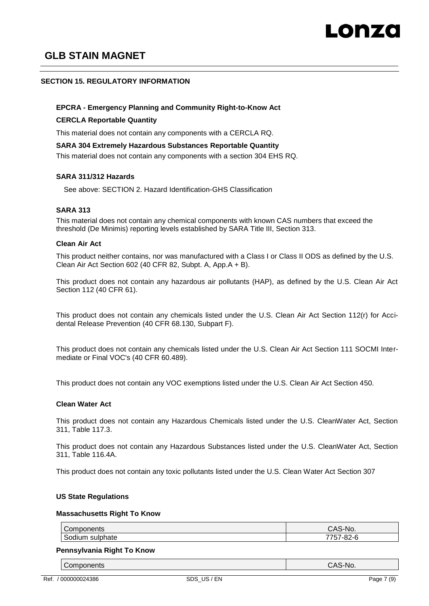### **SECTION 15. REGULATORY INFORMATION**

#### **EPCRA - Emergency Planning and Community Right-to-Know Act**

#### **CERCLA Reportable Quantity**

This material does not contain any components with a CERCLA RQ.

#### **SARA 304 Extremely Hazardous Substances Reportable Quantity**

This material does not contain any components with a section 304 EHS RQ.

#### **SARA 311/312 Hazards**

See above: SECTION 2. Hazard Identification-GHS Classification

### **SARA 313**

This material does not contain any chemical components with known CAS numbers that exceed the threshold (De Minimis) reporting levels established by SARA Title III, Section 313.

#### **Clean Air Act**

This product neither contains, nor was manufactured with a Class I or Class II ODS as defined by the U.S. Clean Air Act Section 602 (40 CFR 82, Subpt. A, App.A + B).

This product does not contain any hazardous air pollutants (HAP), as defined by the U.S. Clean Air Act Section 112 (40 CFR 61).

This product does not contain any chemicals listed under the U.S. Clean Air Act Section 112(r) for Accidental Release Prevention (40 CFR 68.130, Subpart F).

This product does not contain any chemicals listed under the U.S. Clean Air Act Section 111 SOCMI Intermediate or Final VOC's (40 CFR 60.489).

This product does not contain any VOC exemptions listed under the U.S. Clean Air Act Section 450.

#### **Clean Water Act**

This product does not contain any Hazardous Chemicals listed under the U.S. CleanWater Act, Section 311, Table 117.3.

This product does not contain any Hazardous Substances listed under the U.S. CleanWater Act, Section 311, Table 116.4A.

This product does not contain any toxic pollutants listed under the U.S. Clean Water Act Section 307

#### **US State Regulations**

#### **Massachusetts Right To Know**

| Components                  | S-No.<br>ca                                           |
|-----------------------------|-------------------------------------------------------|
| <br>∽<br>sulphate<br>Sodium | ララヒラ<br>$\sim$<br>ノート<br>$.71 - 7$<br>ັບ ເ<br>◡∠<br>ັ |

#### **Pennsylvania Right To Know**

Components CAS-No.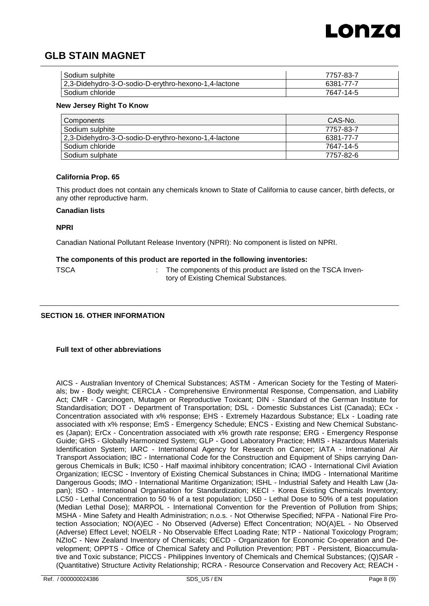

| Sodium sulphite                                      | 7757-83-7 |
|------------------------------------------------------|-----------|
| 2,3-Didehydro-3-O-sodio-D-erythro-hexono-1,4-lactone | 6381-77-7 |
| Sodium chloride                                      | 7647-14-5 |

#### **New Jersey Right To Know**

| Components                                           | CAS-No.   |
|------------------------------------------------------|-----------|
| Sodium sulphite                                      | 7757-83-7 |
| 2,3-Didehydro-3-O-sodio-D-erythro-hexono-1,4-lactone | 6381-77-7 |
| Sodium chloride                                      | 7647-14-5 |
| Sodium sulphate                                      | 7757-82-6 |

### **California Prop. 65**

This product does not contain any chemicals known to State of California to cause cancer, birth defects, or any other reproductive harm.

#### **Canadian lists**

**NPRI**

Canadian National Pollutant Release Inventory (NPRI): No component is listed on NPRI.

#### **The components of this product are reported in the following inventories:**

TSCA **:** The components of this product are listed on the TSCA Inventory of Existing Chemical Substances.

#### **SECTION 16. OTHER INFORMATION**

#### **Full text of other abbreviations**

AICS - Australian Inventory of Chemical Substances; ASTM - American Society for the Testing of Materials; bw - Body weight; CERCLA - Comprehensive Environmental Response, Compensation, and Liability Act; CMR - Carcinogen, Mutagen or Reproductive Toxicant; DIN - Standard of the German Institute for Standardisation; DOT - Department of Transportation; DSL - Domestic Substances List (Canada); ECx - Concentration associated with x% response; EHS - Extremely Hazardous Substance; ELx - Loading rate associated with x% response; EmS - Emergency Schedule; ENCS - Existing and New Chemical Substances (Japan); ErCx - Concentration associated with x% growth rate response; ERG - Emergency Response Guide; GHS - Globally Harmonized System; GLP - Good Laboratory Practice; HMIS - Hazardous Materials Identification System; IARC - International Agency for Research on Cancer; IATA - International Air Transport Association; IBC - International Code for the Construction and Equipment of Ships carrying Dangerous Chemicals in Bulk; IC50 - Half maximal inhibitory concentration; ICAO - International Civil Aviation Organization; IECSC - Inventory of Existing Chemical Substances in China; IMDG - International Maritime Dangerous Goods; IMO - International Maritime Organization; ISHL - Industrial Safety and Health Law (Japan); ISO - International Organisation for Standardization; KECI - Korea Existing Chemicals Inventory; LC50 - Lethal Concentration to 50 % of a test population; LD50 - Lethal Dose to 50% of a test population (Median Lethal Dose); MARPOL - International Convention for the Prevention of Pollution from Ships; MSHA - Mine Safety and Health Administration; n.o.s. - Not Otherwise Specified; NFPA - National Fire Protection Association; NO(A)EC - No Observed (Adverse) Effect Concentration; NO(A)EL - No Observed (Adverse) Effect Level; NOELR - No Observable Effect Loading Rate; NTP - National Toxicology Program; NZIoC - New Zealand Inventory of Chemicals; OECD - Organization for Economic Co-operation and Development; OPPTS - Office of Chemical Safety and Pollution Prevention; PBT - Persistent, Bioaccumulative and Toxic substance; PICCS - Philippines Inventory of Chemicals and Chemical Substances; (Q)SAR - (Quantitative) Structure Activity Relationship; RCRA - Resource Conservation and Recovery Act; REACH -